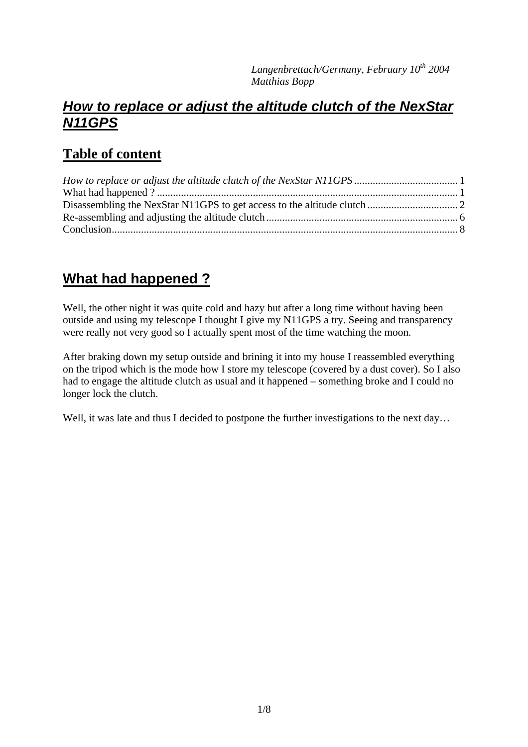#### *How to replace or adjust the altitude clutch of the NexStar N11GPS*

## **Table of content**

# **What had happened ?**

Well, the other night it was quite cold and hazy but after a long time without having been outside and using my telescope I thought I give my N11GPS a try. Seeing and transparency were really not very good so I actually spent most of the time watching the moon.

After braking down my setup outside and brining it into my house I reassembled everything on the tripod which is the mode how I store my telescope (covered by a dust cover). So I also had to engage the altitude clutch as usual and it happened – something broke and I could no longer lock the clutch.

Well, it was late and thus I decided to postpone the further investigations to the next day...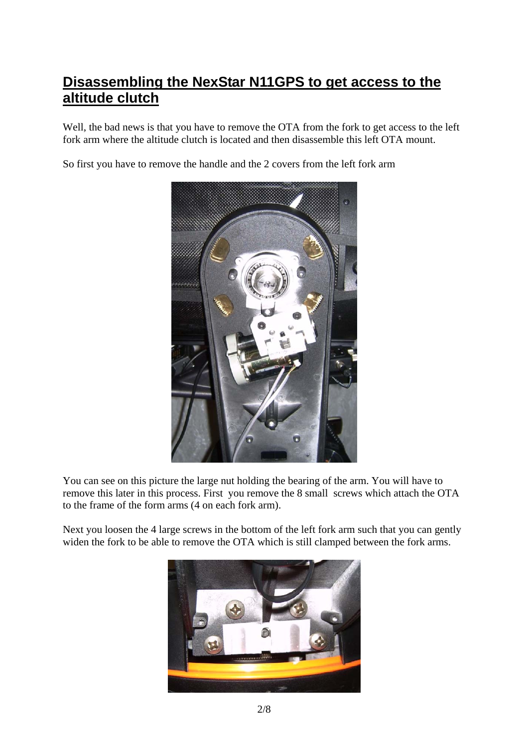### **Disassembling the NexStar N11GPS to get access to the altitude clutch**

Well, the bad news is that you have to remove the OTA from the fork to get access to the left fork arm where the altitude clutch is located and then disassemble this left OTA mount.

So first you have to remove the handle and the 2 covers from the left fork arm



You can see on this picture the large nut holding the bearing of the arm. You will have to remove this later in this process. First you remove the 8 small screws which attach the OTA to the frame of the form arms (4 on each fork arm).

Next you loosen the 4 large screws in the bottom of the left fork arm such that you can gently widen the fork to be able to remove the OTA which is still clamped between the fork arms.

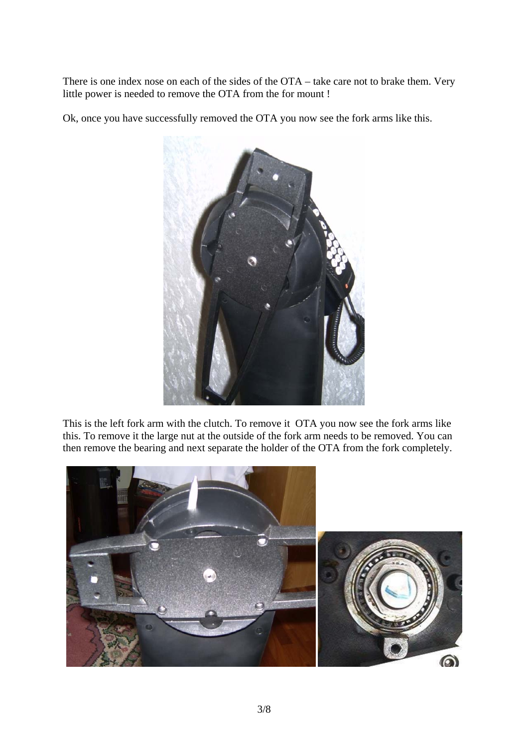There is one index nose on each of the sides of the OTA – take care not to brake them. Very little power is needed to remove the OTA from the for mount !

Ok, once you have successfully removed the OTA you now see the fork arms like this.



This is the left fork arm with the clutch. To remove it OTA you now see the fork arms like this. To remove it the large nut at the outside of the fork arm needs to be removed. You can then remove the bearing and next separate the holder of the OTA from the fork completely.

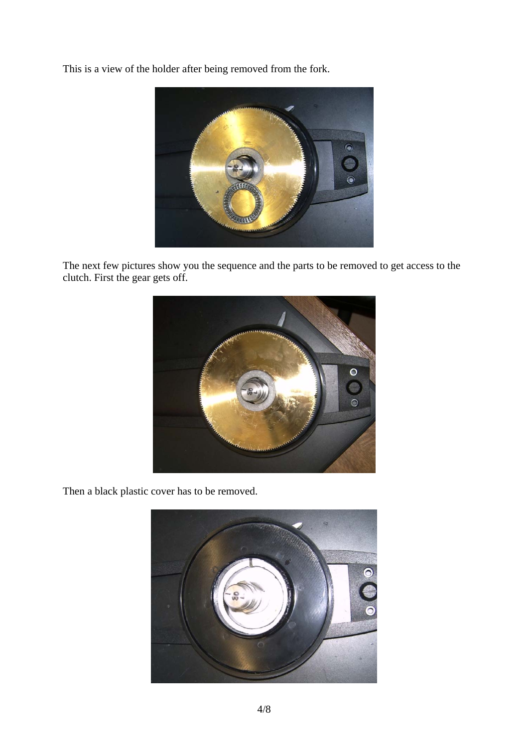This is a view of the holder after being removed from the fork.



The next few pictures show you the sequence and the parts to be removed to get access to the clutch. First the gear gets off.



Then a black plastic cover has to be removed.

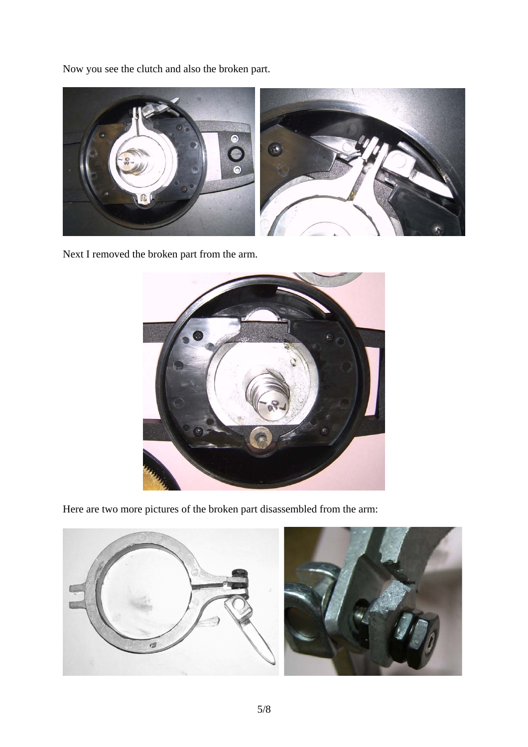Now you see the clutch and also the broken part.



Next I removed the broken part from the arm.



Here are two more pictures of the broken part disassembled from the arm:



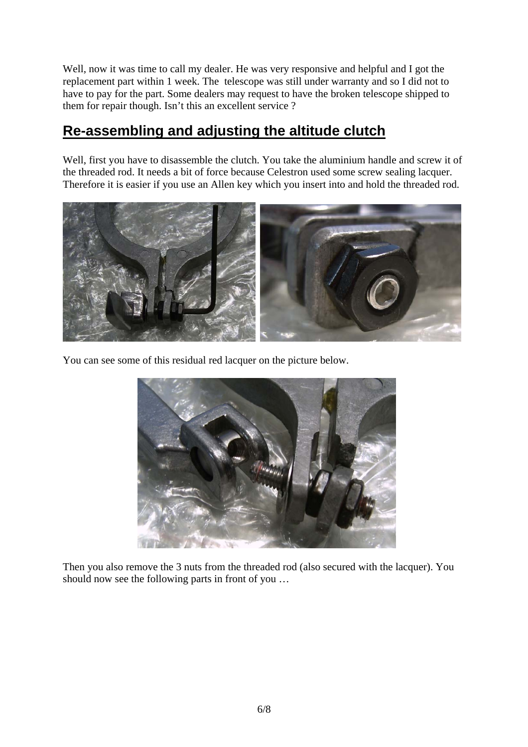Well, now it was time to call my dealer. He was very responsive and helpful and I got the replacement part within 1 week. The telescope was still under warranty and so I did not to have to pay for the part. Some dealers may request to have the broken telescope shipped to them for repair though. Isn't this an excellent service ?

### **Re-assembling and adjusting the altitude clutch**

Well, first you have to disassemble the clutch. You take the aluminium handle and screw it of the threaded rod. It needs a bit of force because Celestron used some screw sealing lacquer. Therefore it is easier if you use an Allen key which you insert into and hold the threaded rod.



You can see some of this residual red lacquer on the picture below.



Then you also remove the 3 nuts from the threaded rod (also secured with the lacquer). You should now see the following parts in front of you …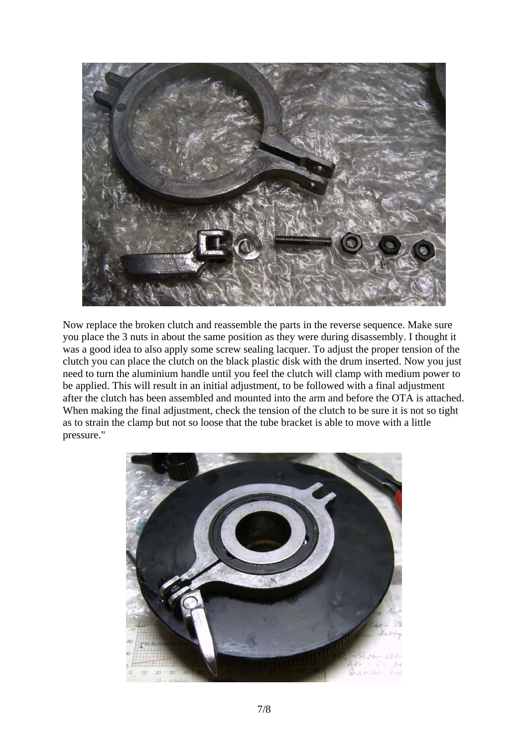

Now replace the broken clutch and reassemble the parts in the reverse sequence. Make sure you place the 3 nuts in about the same position as they were during disassembly. I thought it was a good idea to also apply some screw sealing lacquer. To adjust the proper tension of the clutch you can place the clutch on the black plastic disk with the drum inserted. Now you just need to turn the aluminium handle until you feel the clutch will clamp with medium power to be applied. This will result in an initial adjustment, to be followed with a final adjustment after the clutch has been assembled and mounted into the arm and before the OTA is attached. When making the final adjustment, check the tension of the clutch to be sure it is not so tight as to strain the clamp but not so loose that the tube bracket is able to move with a little pressure."